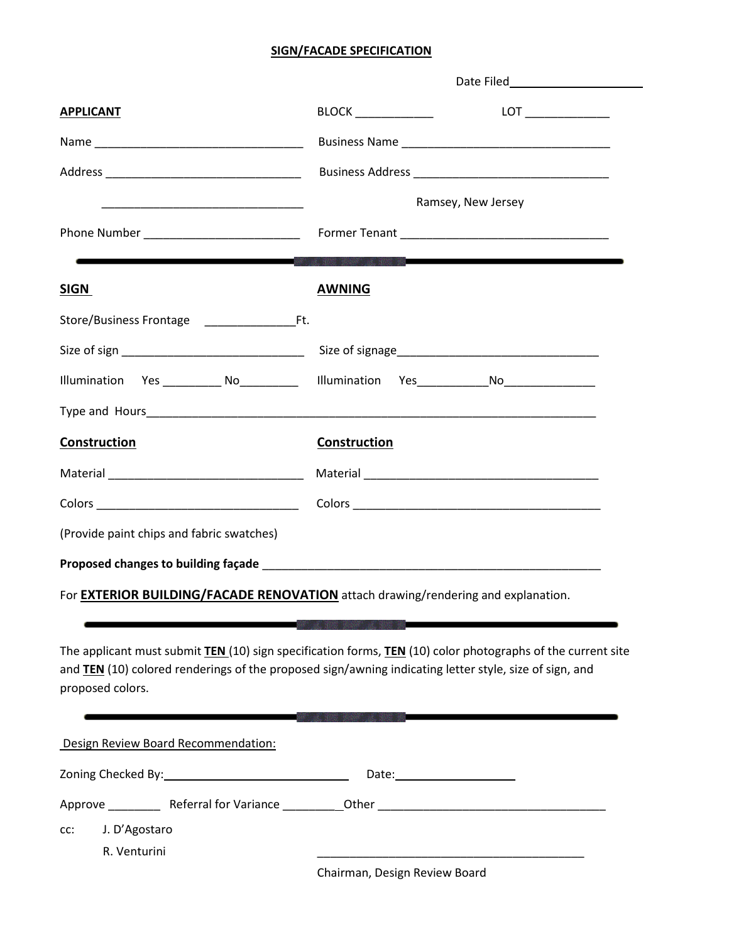## **SIGN/FACADE SPECIFICATION**

| <b>APPLICANT</b>                          | $BLOCK$ _____________                                                                                                                       |  |  |
|-------------------------------------------|---------------------------------------------------------------------------------------------------------------------------------------------|--|--|
|                                           |                                                                                                                                             |  |  |
|                                           |                                                                                                                                             |  |  |
|                                           | Ramsey, New Jersey                                                                                                                          |  |  |
|                                           |                                                                                                                                             |  |  |
|                                           | $\mathcal{L}^{(1)}$ and $\mathcal{L}^{(2)}$ and $\mathcal{L}^{(3)}$ and $\mathcal{L}^{(4)}$ and $\mathcal{L}^{(5)}$ and $\mathcal{L}^{(6)}$ |  |  |
| <b>SIGN</b>                               | <b>AWNING</b>                                                                                                                               |  |  |
| Store/Business Frontage Ft.               |                                                                                                                                             |  |  |
|                                           |                                                                                                                                             |  |  |
|                                           |                                                                                                                                             |  |  |
|                                           |                                                                                                                                             |  |  |
| <b>Construction</b>                       | Construction                                                                                                                                |  |  |
|                                           |                                                                                                                                             |  |  |
|                                           |                                                                                                                                             |  |  |
| (Provide paint chips and fabric swatches) |                                                                                                                                             |  |  |
|                                           |                                                                                                                                             |  |  |

For **EXTERIOR BUILDING/FACADE RENOVATION** attach drawing/rendering and explanation.

The applicant must submit **TEN** (10) sign specification forms, **TEN** (10) color photographs of the current site and **TEN** (10) colored renderings of the proposed sign/awning indicating letter style, size of sign, and proposed colors.

| Design Review Board Recommendation: |                               |                                |  |
|-------------------------------------|-------------------------------|--------------------------------|--|
|                                     |                               | Date: ________________         |  |
|                                     | Approve Referral for Variance |                                |  |
| CC:                                 | J. D'Agostaro                 |                                |  |
|                                     | R. Venturini                  | Chairman, Docian Poviour Poard |  |

Chairman, Design Review Board